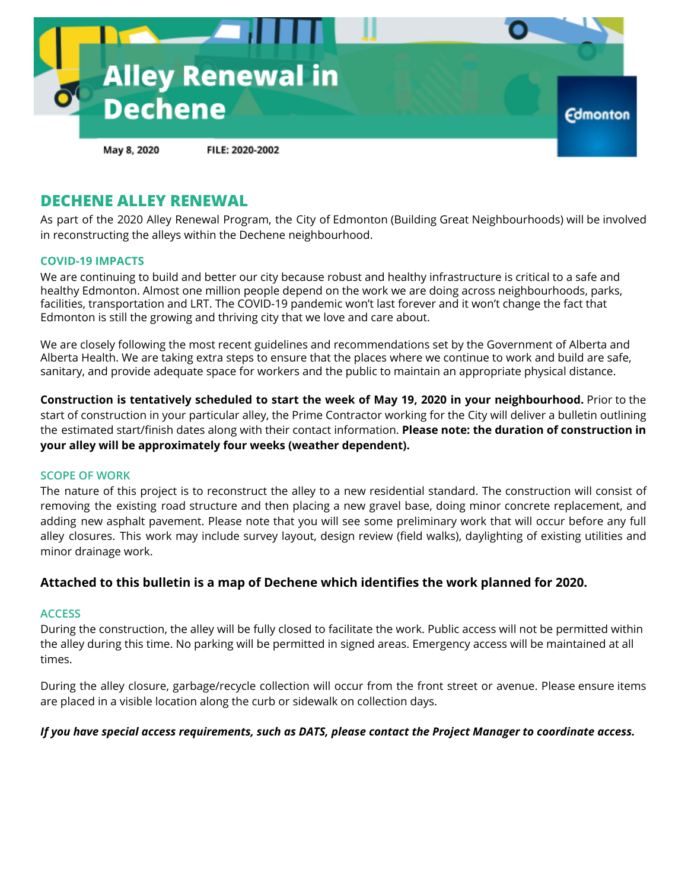

## **DECHENE ALLEY RENEWAL**

As part of the 2020 Alley Renewal Program, the City of Edmonton (Building Great Neighbourhoods) will be involved in reconstructing the alleys within the Dechene neighbourhood.

#### **COVID-19 IMPACTS**

We are continuing to build and better our city because robust and healthy infrastructure is critical to a safe and healthy Edmonton. Almost one million people depend on the work we are doing across neighbourhoods, parks, facilities, transportation and LRT. The COVID-19 pandemic won't last forever and it won't change the fact that Edmonton is still the growing and thriving city that we love and care about.

We are closely following the most recent guidelines and recommendations set by the Government of Alberta and Alberta Health. We are taking extra steps to ensure that the places where we continue to work and build are safe, sanitary, and provide adequate space for workers and the public to maintain an appropriate physical distance.

**Construction is tentatively scheduled to start the week of May 19, 2020 in your neighbourhood.** Prior to the start of construction in your particular alley, the Prime Contractor working for the City will deliver a bulletin outlining the estimated start/finish dates along with their contact information. **Please note: the duration of construction in your alley will be approximately four weeks (weather dependent).**

#### **SCOPE OF WORK**

The nature of this project is to reconstruct the alley to a new residential standard. The construction will consist of removing the existing road structure and then placing a new gravel base, doing minor concrete replacement, and adding new asphalt pavement. Please note that you will see some preliminary work that will occur before any full alley closures. This work may include survey layout, design review (field walks), daylighting of existing utilities and minor drainage work.

### **Attached to this bulletin is a map of Dechene which identifies the work planned for 2020.**

#### **ACCESS**

During the construction, the alley will be fully closed to facilitate the work. Public access will not be permitted within the alley during this time. No parking will be permitted in signed areas. Emergency access will be maintained at all times.

During the alley closure, garbage/recycle collection will occur from the front street or avenue. Please ensure items are placed in a visible location along the curb or sidewalk on collection days.

#### If you have special access requirements, such as DATS, please contact the Project Manager to coordinate access.